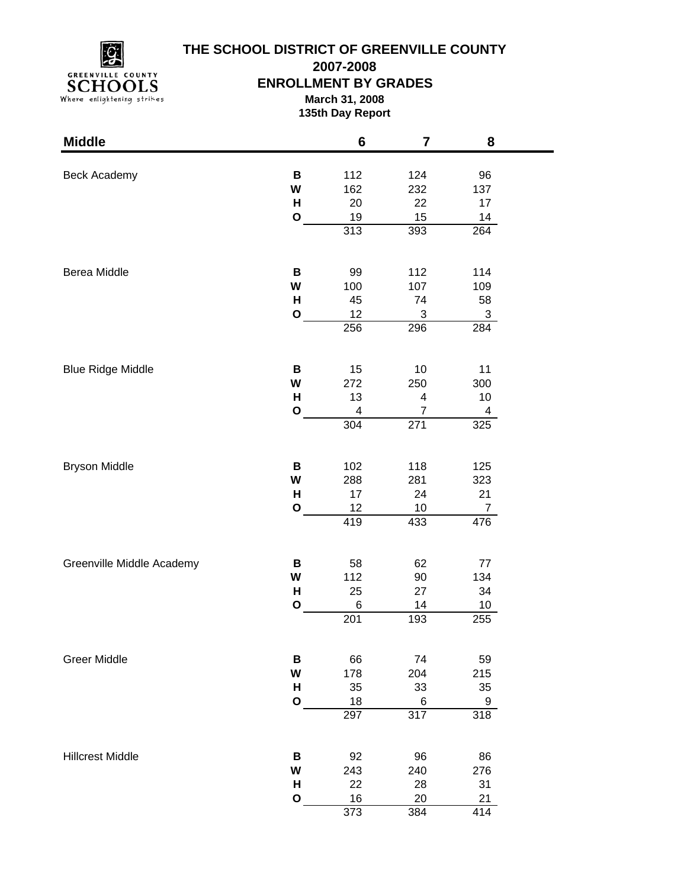

# **THE SCHOOL DISTRICT OF GREENVILLE COUNTY**

**2007-2008**

## **ENROLLMENT BY GRADES**

**March 31, 2008 135th Day Report**

| <b>Middle</b>             |              | $6\phantom{1}6$       | $\overline{\mathbf{7}}$ | 8                |  |
|---------------------------|--------------|-----------------------|-------------------------|------------------|--|
| <b>Beck Academy</b>       | B            | 112                   | 124                     | 96               |  |
|                           | W            | 162                   | 232                     | 137              |  |
|                           | H            | 20                    | 22                      | 17               |  |
|                           | $\mathbf O$  | 19                    | 15                      | 14               |  |
|                           |              | 313                   | 393                     | $\overline{264}$ |  |
| Berea Middle              | В            | 99                    | 112                     | 114              |  |
|                           | W            | 100                   | 107                     | 109              |  |
|                           | н            | 45                    | 74                      | 58               |  |
|                           | $\mathbf{o}$ | 12                    | 3                       | 3                |  |
|                           |              | 256                   | 296                     | 284              |  |
| <b>Blue Ridge Middle</b>  | В            | 15                    | 10                      | 11               |  |
|                           | W            | 272                   | 250                     | 300              |  |
|                           | H            | 13                    | 4                       | 10               |  |
|                           | $\mathbf{o}$ | 4                     | 7                       | 4                |  |
|                           |              | 304                   | 271                     | 325              |  |
| <b>Bryson Middle</b>      | В            | 102                   | 118                     | 125              |  |
|                           | W            | 288                   | 281                     | 323              |  |
|                           | H            | 17                    | 24                      | 21               |  |
|                           | $\mathbf{o}$ | 12                    | 10                      | $\overline{7}$   |  |
|                           |              | 419                   | 433                     | 476              |  |
| Greenville Middle Academy | В            | 58                    | 62                      | 77               |  |
|                           | W            | 112                   | 90                      | 134              |  |
|                           | н            | 25                    | 27                      | 34               |  |
|                           | $\mathbf{o}$ | 6<br>$\overline{201}$ | 14<br>193               | 10<br>255        |  |
|                           |              |                       |                         |                  |  |
| <b>Greer Middle</b>       | B            | 66                    | 74                      | 59               |  |
|                           | W            | 178                   | 204                     | 215              |  |
|                           | H            | 35                    | 33                      | 35               |  |
|                           | $\mathbf{o}$ | 18                    | 6                       | 9                |  |
|                           |              | 297                   | 317                     | $\overline{318}$ |  |
| <b>Hillcrest Middle</b>   | В            | 92                    | 96                      | 86               |  |
|                           | W            | 243                   | 240                     | 276              |  |
|                           | н            | 22                    | 28                      | 31               |  |
|                           | $\mathbf O$  | 16                    | 20                      | 21               |  |
|                           |              | $\overline{373}$      | 384                     | 414              |  |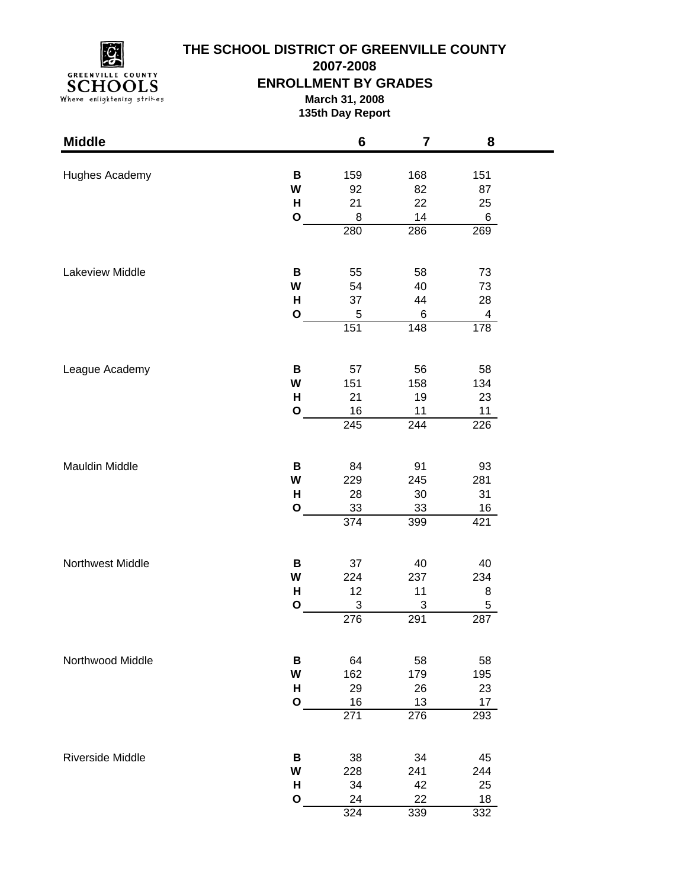

## **THE SCHOOL DISTRICT OF GREENVILLE COUNTY**

**2007-2008**

#### **ENROLLMENT BY GRADES**

**March 31, 2008 135th Day Report**

| <b>Middle</b>           |              | $6\phantom{1}6$ | 7         | 8              |  |
|-------------------------|--------------|-----------------|-----------|----------------|--|
|                         | В            |                 |           |                |  |
| Hughes Academy          | W            | 159<br>92       | 168<br>82 | 151<br>87      |  |
|                         | H            | 21              | 22        | 25             |  |
|                         | $\mathbf{o}$ | 8               | 14        | $6\phantom{.}$ |  |
|                         |              | 280             | 286       | 269            |  |
|                         |              |                 |           |                |  |
| Lakeview Middle         | В            | 55              | 58        | 73             |  |
|                         | W            | 54              | 40        | 73             |  |
|                         | H            | 37              | 44        | 28             |  |
|                         | $\mathbf{o}$ | 5               | 6         | 4              |  |
|                         |              | 151             | 148       | 178            |  |
|                         | В            | 57              | 56        | 58             |  |
| League Academy          | W            | 151             | 158       | 134            |  |
|                         | $\mathsf{H}$ | 21              | 19        |                |  |
|                         | $\mathbf{o}$ | 16              | 11        | 23<br>11       |  |
|                         |              | 245             | 244       | 226            |  |
|                         |              |                 |           |                |  |
| Mauldin Middle          | В            | 84              | 91        | 93             |  |
|                         | W            | 229             | 245       | 281            |  |
|                         | H            | 28              | 30        | 31             |  |
|                         | $\mathbf O$  | 33              | 33        | 16             |  |
|                         |              | 374             | 399       | 421            |  |
| Northwest Middle        | В            | 37              | 40        | 40             |  |
|                         | W            | 224             | 237       | 234            |  |
|                         | H            | 12              | 11        | 8              |  |
|                         | $\mathbf{o}$ | 3               | 3         | 5              |  |
|                         |              | 276             | 291       | 287            |  |
| Northwood Middle        |              |                 |           |                |  |
|                         | B<br>W       | 64<br>162       | 58<br>179 | 58<br>195      |  |
|                         | н            | 29              | 26        | 23             |  |
|                         | $\mathbf{o}$ | 16              | 13        | 17             |  |
|                         |              | 271             | 276       | 293            |  |
|                         |              |                 |           |                |  |
| <b>Riverside Middle</b> | В            | 38              | 34        | 45             |  |
|                         | W            | 228             | 241       | 244            |  |
|                         | н            | 34              | 42        | 25             |  |
|                         | $\mathbf{o}$ | 24              | 22        | 18             |  |
|                         |              | 324             | 339       | 332            |  |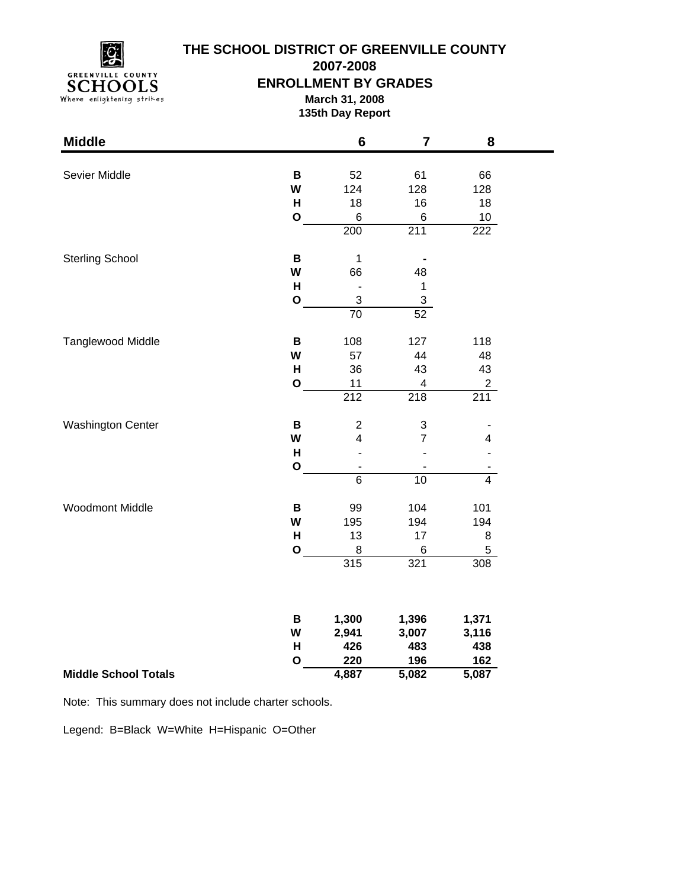

## **THE SCHOOL DISTRICT OF GREENVILLE COUNTY**

**2007-2008**

#### **ENROLLMENT BY GRADES**

**March 31, 2008 135th Day Report**

۰

| <b>Middle</b>               |              | $6\phantom{1}$ | $\overline{7}$   | 8                |
|-----------------------------|--------------|----------------|------------------|------------------|
|                             |              |                |                  |                  |
| Sevier Middle               | B<br>W       | 52<br>124      | 61<br>128        | 66<br>128        |
|                             | H            | 18             | 16               | 18               |
|                             | $\mathbf{o}$ | 6              | 6                | $10$             |
|                             |              | 200            | 211              | $\overline{222}$ |
|                             |              |                |                  |                  |
| <b>Sterling School</b>      | B            | $\mathbf{1}$   |                  |                  |
|                             | W            | 66             | 48               |                  |
|                             | H            | ÷,             | $\mathbf 1$      |                  |
|                             | $\mathbf{o}$ | $\mathfrak{S}$ | $\mathbf{3}$     |                  |
|                             |              | 70             | 52               |                  |
| Tanglewood Middle           | $\, {\bf B}$ | 108            | 127              | 118              |
|                             | W            | 57             | 44               | 48               |
|                             | H            | 36             | 43               | 43               |
|                             | $\mathbf{o}$ | 11             | 4                | $\overline{a}$   |
|                             |              | 212            | $\overline{218}$ | 211              |
| <b>Washington Center</b>    | $\, {\bf B}$ | $\overline{c}$ | 3                |                  |
|                             | W            | 4              | $\overline{7}$   | 4                |
|                             | H            |                |                  |                  |
|                             | $\mathbf{o}$ |                |                  |                  |
|                             |              | $\overline{6}$ | $\overline{10}$  | $\overline{4}$   |
| Woodmont Middle             | B            | 99             | 104              | 101              |
|                             | W            | 195            | 194              | 194              |
|                             | H            | 13             | 17               | $\,8\,$          |
|                             | $\mathbf{o}$ | 8              | 6                | 5                |
|                             |              | 315            | 321              | 308              |
|                             |              |                |                  |                  |
|                             | В            | 1,300          | 1,396            | 1,371            |
|                             | W            | 2,941          | 3,007            | 3,116            |
|                             | H            | 426            | 483              | 438              |
|                             | $\mathbf{o}$ | 220            | 196              | 162              |
| <b>Middle School Totals</b> |              | 4,887          | 5,082            | 5,087            |

Note: This summary does not include charter schools.

Legend: B=Black W=White H=Hispanic O=Other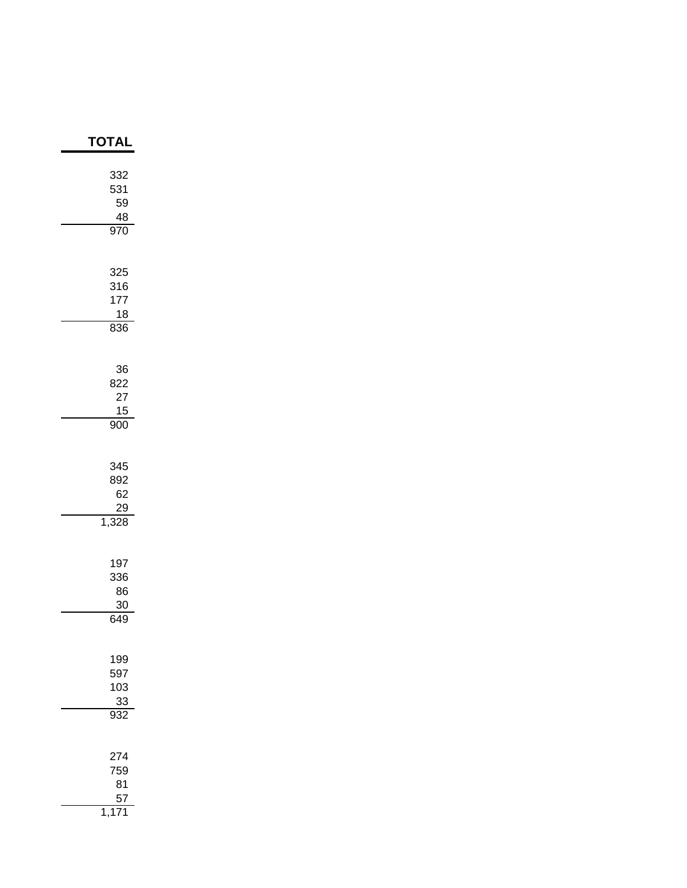| ΓΟΤΑΙ                                     |
|-------------------------------------------|
| 332<br>531<br>59<br>$\frac{48}{1}$<br>970 |
| 325<br>316<br>177<br>18<br>836            |
| 36<br>822<br>27<br>15<br>$\overline{900}$ |
| 345<br>892<br>62<br>29<br>1,328           |
| 197<br>336<br>86<br>30<br>649             |
| 199<br>597<br>103<br>$\frac{33}{932}$     |
| 274<br>759<br>81<br>57<br>1,              |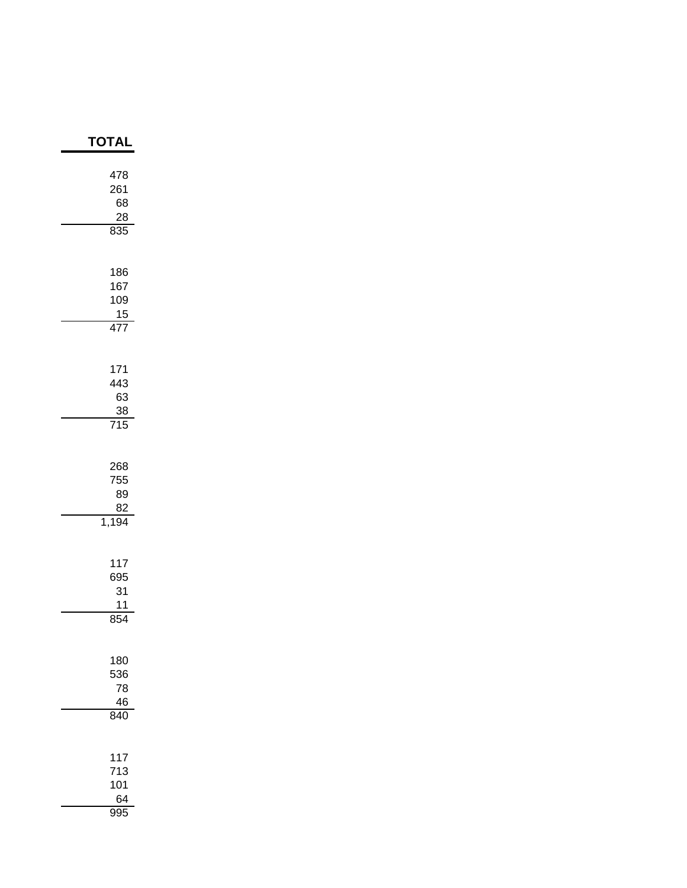| <b>TOTAI</b>                               |
|--------------------------------------------|
| 478<br>261<br>68<br>28<br>835              |
| 186<br>167<br>109<br>$\frac{15}{477}$      |
| 171<br>443<br>63<br>$\frac{38}{715}$       |
| 268<br>755<br>89<br>82<br>1,194            |
| 117<br>695<br>31<br>11<br>$\overline{854}$ |
| 180<br>536<br>78<br>46<br>840              |
| 117<br>713<br>101<br>64<br>995             |